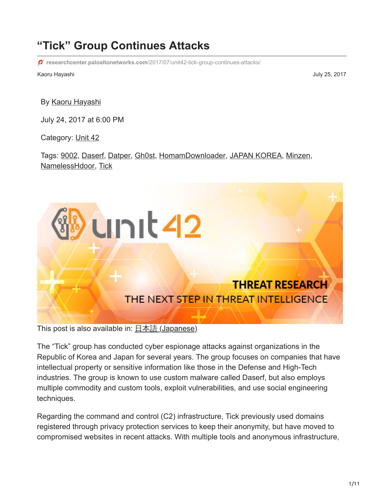# **"Tick" Group Continues Attacks**

**researchcenter.paloaltonetworks.com**[/2017/07/unit42-tick-group-continues-attacks/](https://researchcenter.paloaltonetworks.com/2017/07/unit42-tick-group-continues-attacks/)

Kaoru Hayashi July 25, 2017

By [Kaoru Hayashi](https://unit42.paloaltonetworks.com/author/khayashi/)

July 24, 2017 at 6:00 PM

Category: [Unit 42](https://unit42.paloaltonetworks.com/category/unit42/)

Tags: [9002,](https://unit42.paloaltonetworks.com/tag/9002/) [Daserf,](https://unit42.paloaltonetworks.com/tag/daserf/) [Datper](https://unit42.paloaltonetworks.com/tag/datper/), [Gh0st](https://unit42.paloaltonetworks.com/tag/gh0st/), [HomamDownloader,](https://unit42.paloaltonetworks.com/tag/homamdownloader/) [JAPAN KOREA](https://unit42.paloaltonetworks.com/tag/japan-korea/), [Minzen,](https://unit42.paloaltonetworks.com/tag/minzen/) [NamelessHdoor](https://unit42.paloaltonetworks.com/tag/namelesshdoor/), [Tick](https://unit42.paloaltonetworks.com/tag/tick/)



This post is also available in:  $\underline{\Box}$   $\underline{\Diamond}$   $\underline{\Diamond}$   $\underline{\Diamond}$   $\underline{\Diamond}$   $\underline{\Diamond}$   $\underline{\Diamond}$   $\underline{\Diamond}$   $\underline{\Diamond}$   $\underline{\Diamond}$   $\underline{\Diamond}$   $\underline{\Diamond}$   $\underline{\Diamond}$   $\underline{\Diamond}$   $\underline{\Diamond}$   $\underline{\Diamond}$   $\underline{\Diamond}$   $\underline{\Diamond}$   $\underline{\Diamond}$   $\underline{\Diamond}$   $\underline{\Diamond}$ 

The "Tick" group has conducted cyber espionage attacks against organizations in the Republic of Korea and Japan for several years. The group focuses on companies that have intellectual property or sensitive information like those in the Defense and High-Tech industries. The group is known to use custom malware called Daserf, but also employs multiple commodity and custom tools, exploit vulnerabilities, and use social engineering techniques.

Regarding the command and control (C2) infrastructure, Tick previously used domains registered through privacy protection services to keep their anonymity, but have moved to compromised websites in recent attacks. With multiple tools and anonymous infrastructure,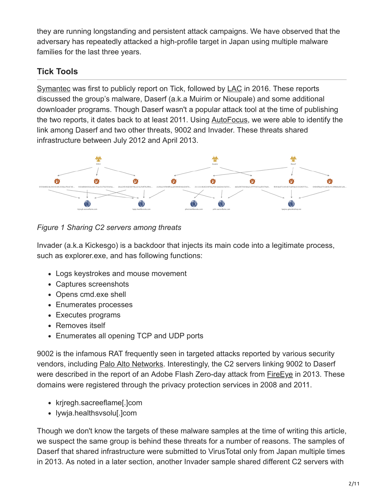they are running longstanding and persistent attack campaigns. We have observed that the adversary has repeatedly attacked a high-profile target in Japan using multiple malware families for the last three years.

# **Tick Tools**

[Symantec](https://www.symantec.com/connect/blogs/adobe-zero-day-used-ladyboyle-attack) was first to publicly report on Tick, followed by [LAC](https://www.lac.co.jp/english/report/2016/11/04_cgview_01.html) in 2016. These reports discussed the group's malware, Daserf (a.k.a Muirim or Nioupale) and some additional downloader programs. Though Daserf wasn't a popular attack tool at the time of publishing the two reports, it dates back to at least 2011. Using [AutoFocus,](https://www.paloaltonetworks.com/products/secure-the-network/subscriptions/autofocus) we were able to identify the link among Daserf and two other threats, 9002 and Invader. These threats shared infrastructure between July 2012 and April 2013.



*Figure 1 Sharing C2 servers among threats*

Invader (a.k.a Kickesgo) is a backdoor that injects its main code into a legitimate process, such as explorer.exe, and has following functions:

- Logs keystrokes and mouse movement
- Captures screenshots
- Opens cmd.exe shell
- Enumerates processes
- Executes programs
- Removes itself
- Enumerates all opening TCP and UDP ports

9002 is the infamous RAT frequently seen in targeted attacks reported by various security vendors, including [Palo Alto Networks](https://blog.paloaltonetworks.com/tag/9002/). Interestingly, the C2 servers linking 9002 to Daserf were described in the report of an Adobe Flash Zero-day attack from [FireEye](https://www.fireeye.com/blog/threat-research/2013/02/lady-boyle-comes-to-town-with-a-new-exploit.html) in 2013. These domains were registered through the privacy protection services in 2008 and 2011.

- kriregh.sacreeflame[.]com
- lywja.healthsvsolu[.]com

Though we don't know the targets of these malware samples at the time of writing this article, we suspect the same group is behind these threats for a number of reasons. The samples of Daserf that shared infrastructure were submitted to VirusTotal only from Japan multiple times in 2013. As noted in a later section, another Invader sample shared different C2 servers with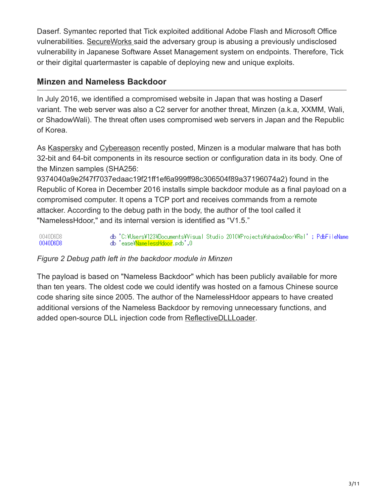Daserf. Symantec reported that Tick exploited additional Adobe Flash and Microsoft Office vulnerabilities. [SecureWorks s](https://www.secureworks.jp/resources/rp-bronze-butler)aid the adversary group is abusing a previously undisclosed vulnerability in Japanese Software Asset Management system on endpoints. Therefore, Tick or their digital quartermaster is capable of deploying new and unique exploits.

## **Minzen and Nameless Backdoor**

In July 2016, we identified a compromised website in Japan that was hosting a Daserf variant. The web server was also a C2 server for another threat, Minzen (a.k.a, XXMM, Wali, or ShadowWali). The threat often uses compromised web servers in Japan and the Republic of Korea.

As [Kaspersky](https://securelist.com/blog/research/78010/old-malware-tricks-to-bypass-detection-in-the-age-of-big-data/) and [Cybereason](https://www.cybereason.com/labs-shadowwali-new-variant-of-the-xxmm-family-of-backdoors/) recently posted, Minzen is a modular malware that has both 32-bit and 64-bit components in its resource section or configuration data in its body. One of the Minzen samples (SHA256:

9374040a9e2f47f7037edaac19f21ff1ef6a999ff98c306504f89a37196074a2) found in the Republic of Korea in December 2016 installs simple backdoor module as a final payload on a compromised computer. It opens a TCP port and receives commands from a remote attacker. According to the debug path in the body, the author of the tool called it "NamelessHdoor," and its internal version is identified as "V1.5."

db 'C:\Users\123\Documents\Visual Studio 2010\Projects\shadowDoor\Rel'; PdbFileName 0040D6D8 db 'ease\NamelessHdoor.pdb',0 0040D6D8

### *Figure 2 Debug path left in the backdoor module in Minzen*

The payload is based on "Nameless Backdoor" which has been publicly available for more than ten years. The oldest code we could identify was hosted on a famous Chinese source code sharing site since 2005. The author of the NamelessHdoor appears to have created additional versions of the Nameless Backdoor by removing unnecessary functions, and added open-source DLL injection code from [ReflectiveDLLLoader](https://github.com/stephenfewer/ReflectiveDLLInjection).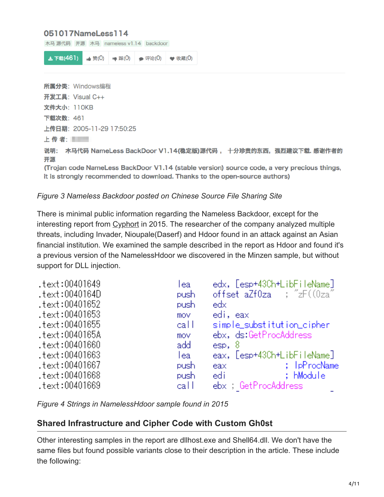### 051017NameLess114

| 木马 源代码 开源 木马 nameless v1.14 backdoor                                                                                                                                     |  |  |  |  |
|--------------------------------------------------------------------------------------------------------------------------------------------------------------------------|--|--|--|--|
| 上下载(461)<br>▲ 赞(0)<br> ● 踩(0)<br>● 评论(0)<br>● 收藏(0)                                                                                                                      |  |  |  |  |
| 所属分类: Windows编程                                                                                                                                                          |  |  |  |  |
| 开发工具: Visual C++                                                                                                                                                         |  |  |  |  |
| 文件大小: 110KB                                                                                                                                                              |  |  |  |  |
| <b>下载次数: 461</b>                                                                                                                                                         |  |  |  |  |
| 上传日期:2005-11-29 17:50:25                                                                                                                                                 |  |  |  |  |
|                                                                                                                                                                          |  |  |  |  |
| 木马代码 NameLess BackDoor V1.14(稳定版)源代码 , 十分珍贵的东西,强烈建议下载. 感谢作者的<br>说明:<br>开源                                                                                                |  |  |  |  |
| (Trojan code NameLess BackDoor V1.14 (stable version) source code, a very precious things,<br>it is strongly recommended to download. Thanks to the open-source authors) |  |  |  |  |
|                                                                                                                                                                          |  |  |  |  |

#### *Figure 3 Nameless Backdoor posted on Chinese Source File Sharing Site*

There is minimal public information regarding the Nameless Backdoor, except for the interesting report from [Cyphort](https://www.cyphort.com/multiple-malwares-used-to-target-an-asian-financial-institution/) in 2015. The researcher of the company analyzed multiple threats, including Invader, Nioupale(Daserf) and Hdoor found in an attack against an Asian financial institution. We examined the sample described in the report as Hdoor and found it's a previous version of the NamelessHdoor we discovered in the Minzen sample, but without support for DLL injection.

| text:00401649. | lea  | edx, [esp+43Ch+LibFileName]                                                                                           |
|----------------|------|-----------------------------------------------------------------------------------------------------------------------|
| text:0040164D. | push | offset $aZf0za$ ; " $zF((0za$ "                                                                                       |
| text:00401652. | push | edx                                                                                                                   |
| text:00401653. | mov  | edi, eax                                                                                                              |
| text:00401655. | call | simple_substitution_cipher                                                                                            |
| text:0040165A. | mov  | ebx, ds:GetProcAddress                                                                                                |
| text:00401660. | add  | $\mathsf{esp},\; 8$                                                                                                   |
| text:00401663. | lea  | eax, [esp+43Ch+LibFileName]                                                                                           |
| text:00401667. | push | and the state of the state of the state of the state of the state of the state of the state of the state of th<br>eax |
| text:00401668  | push | ; hModule<br>edi                                                                                                      |
| text:00401669. | call | ebx GetProcAddress                                                                                                    |

*Figure 4 Strings in NamelessHdoor sample found in 2015*

### **Shared Infrastructure and Cipher Code with Custom Gh0st**

Other interesting samples in the report are dllhost.exe and Shell64.dll. We don't have the same files but found possible variants close to their description in the article. These include the following: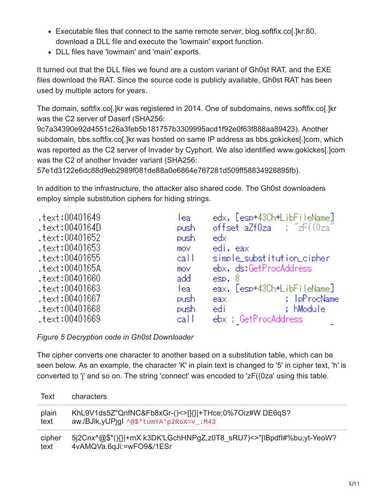- Executable files that connect to the same remote server, blog.softfix.co[.]kr:80, download a DLL file and execute the 'lowmain' export function.
- DLL files have 'lowmain' and 'main' exports.

It turned out that the DLL files we found are a custom variant of Gh0st RAT, and the EXE files download the RAT. Since the source code is publicly available, Gh0st RAT has been used by multiple actors for years.

The domain, softfix.co[.]kr was registered in 2014. One of subdomains, news.softfix.co[.]kr was the C2 server of Daserf (SHA256:

9c7a34390e92d4551c26a3feb5b181757b3309995acd1f92e0f63f888aa89423). Another subdomain, bbs.softfix.co[.]kr was hosted on same IP address as bbs.gokickes[.]com, which was reported as the C2 server of Invader by Cyphort. We also identified www.gokickes[.]com was the C2 of another Invader variant (SHA256:

57e1d3122e6dc88d9eb2989f081de88a0e6864e767281d509ff58834928895fb).

In addition to the infrastructure, the attacker also shared code. The Gh0st downloaders employ simple substitution ciphers for hiding strings.

| text:00401649. | lea  | edx, [esp+43Ch+LibFileName] |
|----------------|------|-----------------------------|
| text:0040164D. | push | offset aZf0za ; "zF((0za"   |
| text:00401652. | push | edx                         |
| text:00401653. | mov  | edi, eax                    |
| text:00401655. | call | simple_substitution_cipher  |
| text:0040165A. | mov  | ebx, ds:GetProcAddress      |
| text:00401660. | add  | $\text{esp}, 8$             |
| text:00401663. | lea  | eax, [esp+43Ch+LibFileName] |
| text:00401667. | push | ; IpProcName<br>eax         |
| text:00401668. | push | ; hModule<br>edi            |
| text:00401669. | call | ebx ; GetProcAddress        |

*Figure 5 Decryption code in Gh0st Downloader*

The cipher converts one character to another based on a substitution table, which can be seen below. As an example, the character 'K' in plain text is changed to '5' in cipher text, 'h' is converted to 'j' and so on. The string 'connect' was encoded to 'zF((0za' using this table.

| Text   | characters                                                           |
|--------|----------------------------------------------------------------------|
| plain  | KhL9V1ds5Z"QnfNC&Fb8xGr-()<>[1{} +THce;0%7Oiz#W DE6qS?               |
| text   | aw./BJlk.yUPigl ^@\$*tumYA'p2RoX=v_:M43                              |
| cipher | 5j2Cnx^@\$*(){} +mX k3DK'LGchHNPgZ,z0T8 sRU7)<>"[IBpdfl#%bu;yt-YeoW? |
| text   | 4vAMQVa.6qJi:=wFO9&/1ESr                                             |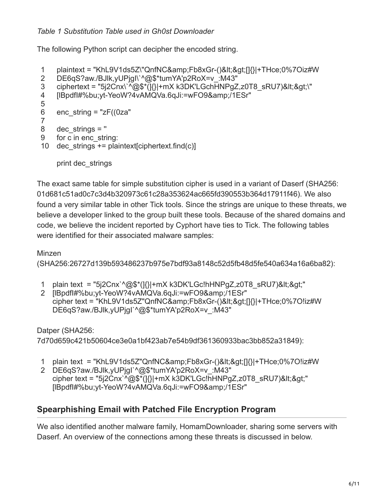### *Table 1 Substitution Table used in Gh0st Downloader*

The following Python script can decipher the encoded string.

```
1
   plaintext = "KhL9V1ds5Z\"QnfNC&Fb8xGr-()<&gt;[]{}|+THce;0%7Oiz#W
```

```
2
    DE6qS?aw./BJlk,yUPjgI\`^@$*tumYA'p2RoX=v :M43"
```

```
3
    ciphertext = "5j2Cnx\`^@$*(]{}|+mX k3DK'LGchHNPgZ,z0T8_sRU7)<&gt;\"
```

```
4
   [IBpdfl#%bu;yt-YeoW?4vAMQVa.6qJi:=wFO9&/1ESr"
```

```
5
```

```
6
    enc_string = "zF((0za")
```

```
7
8
    dec strings = "
```

```
9
    for c in enc_string:
```
10 dec\_strings += plaintext[ciphertext.find(c)]

print dec\_strings

The exact same table for simple substitution cipher is used in a variant of Daserf (SHA256: 01d681c51ad0c7c3d4b320973c61c28a353624ac665fd390553b364d17911f46). We also found a very similar table in other Tick tools. Since the strings are unique to these threats, we believe a developer linked to the group built these tools. Because of the shared domains and code, we believe the incident reported by Cyphort have ties to Tick. The following tables were identified for their associated malware samples:

## Minzen

(SHA256:26727d139b593486237b975e7bdf93a8148c52d5fb48d5fe540a634a16a6ba82):

- 1 plain text = "5j2Cnx`^@\$\*(]{}|+mX k3DK'LGc!hHNPgZ,z0T8\_sRU7)<&gt;"
- 2 [IBpdfl#%bu;yt-YeoW?4vAMQVa.6qJi:=wFO9&/1ESr" cipher text = "KhL9V1ds5Z"QnfNC&Fb8xGr-()<&gt;[]{}|+THce;0%7O!iz#W DE6qS?aw./BJlk,yUPjgI`^@\$\*tumYA'p2RoX=v :M43"

### Datper (SHA256:

7d70d659c421b50604ce3e0a1bf423ab7e54b9df361360933bac3bb852a31849):

- 1 plain text = "KhL9V1ds5Z"QnfNC&Fb8xGr-()<&gt;[]{}|+THce;0%7O!iz#W
- 2 DE6qS?aw./BJlk,yUPjgI`^@\$\*tumYA'p2RoX=v\_:M43" cipher text = "5j2Cnx`^@\$\*(]{}|+mX k3DK'LGc!hHNPgZ,z0T8\_sRU7)<&gt;" [IBpdfl#%bu;yt-YeoW?4vAMQVa.6qJi:=wFO9&/1ESr"

# **Spearphishing Email with Patched File Encryption Program**

We also identified another malware family, HomamDownloader, sharing some servers with Daserf. An overview of the connections among these threats is discussed in below.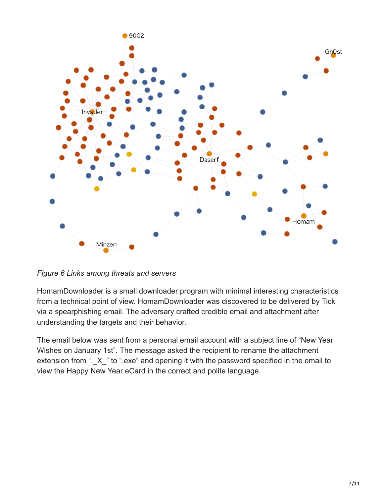

*Figure 6 Links among threats and servers*

HomamDownloader is a small downloader program with minimal interesting characteristics from a technical point of view. HomamDownloader was discovered to be delivered by Tick via a spearphishing email. The adversary crafted credible email and attachment after understanding the targets and their behavior.

The email below was sent from a personal email account with a subject line of "New Year Wishes on January 1st". The message asked the recipient to rename the attachment extension from ". X " to ".exe" and opening it with the password specified in the email to view the Happy New Year eCard in the correct and polite language.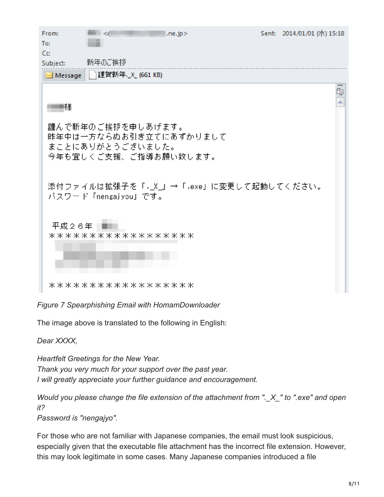| From:<br>$\sim$ $\ll$<br>.ne.jp                    | Sent: 2014/01/01 (7)() 15:18 |    |
|----------------------------------------------------|------------------------------|----|
| To:                                                |                              |    |
| Cc                                                 |                              |    |
| 新年のご挨拶<br>Subject:                                 |                              |    |
| 謹賀新年._X_ (661 KB)<br>Message                       |                              |    |
|                                                    |                              | Ŋ, |
| 様                                                  |                              |    |
| 謹んで新年のご挨拶を申しあげます。                                  |                              |    |
| 昨年中は一方ならぬお引き立てにあずかりまして                             |                              |    |
| まことにありがとうございました。                                   |                              |    |
| 今年も宜しくご支援、ご指導お願い致します。                              |                              |    |
|                                                    |                              |    |
|                                                    |                              |    |
| 添付ファイルは拡張子を「 <sub>・</sub> X_」→「.exe」に変更して起動してください。 |                              |    |
| バスワード「nengajyou」です。                                |                              |    |
|                                                    |                              |    |
| 平成26年                                              |                              |    |
| ******************                                 |                              |    |
|                                                    |                              |    |
|                                                    |                              |    |
|                                                    |                              |    |
|                                                    |                              |    |
| ******************                                 |                              |    |

*Figure 7 Spearphishing Email with HomamDownloader*

The image above is translated to the following in English:

*Dear XXXX,*

*Heartfelt Greetings for the New Year. Thank you very much for your support over the past year. I will greatly appreciate your further guidance and encouragement.*

*Would you please change the file extension of the attachment from ".\_X\_" to ".exe" and open it?*

*Password is "nengajyo".*

For those who are not familiar with Japanese companies, the email must look suspicious, especially given that the executable file attachment has the incorrect file extension. However, this may look legitimate in some cases. Many Japanese companies introduced a file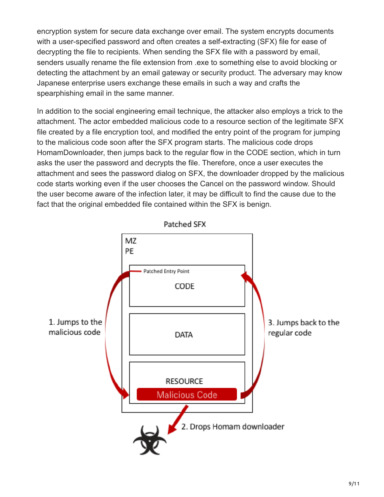encryption system for secure data exchange over email. The system encrypts documents with a user-specified password and often creates a self-extracting (SFX) file for ease of decrypting the file to recipients. When sending the SFX file with a password by email, senders usually rename the file extension from .exe to something else to avoid blocking or detecting the attachment by an email gateway or security product. The adversary may know Japanese enterprise users exchange these emails in such a way and crafts the spearphishing email in the same manner.

In addition to the social engineering email technique, the attacker also employs a trick to the attachment. The actor embedded malicious code to a resource section of the legitimate SFX file created by a file encryption tool, and modified the entry point of the program for jumping to the malicious code soon after the SFX program starts. The malicious code drops HomamDownloader, then jumps back to the regular flow in the CODE section, which in turn asks the user the password and decrypts the file. Therefore, once a user executes the attachment and sees the password dialog on SFX, the downloader dropped by the malicious code starts working even if the user chooses the Cancel on the password window. Should the user become aware of the infection later, it may be difficult to find the cause due to the fact that the original embedded file contained within the SFX is benign.



9/11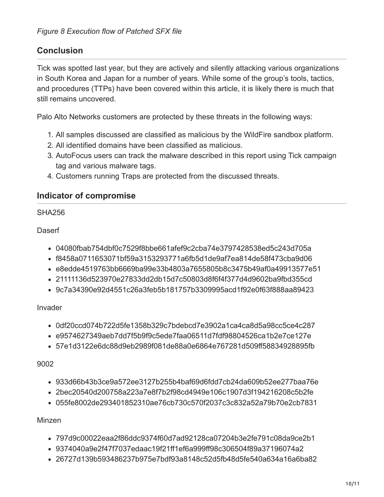# **Conclusion**

Tick was spotted last year, but they are actively and silently attacking various organizations in South Korea and Japan for a number of years. While some of the group's tools, tactics, and procedures (TTPs) have been covered within this article, it is likely there is much that still remains uncovered.

Palo Alto Networks customers are protected by these threats in the following ways:

- 1. All samples discussed are classified as malicious by the WildFire sandbox platform.
- 2. All identified domains have been classified as malicious.
- 3. AutoFocus users can track the malware described in this report using Tick campaign tag and various malware tags.
- 4. Customers running Traps are protected from the discussed threats.

### **Indicator of compromise**

#### SHA256

### **Daserf**

- 04080fbab754dbf0c7529f8bbe661afef9c2cba74e3797428538ed5c243d705a
- f8458a0711653071bf59a3153293771a6fb5d1de9af7ea814de58f473cba9d06
- e8edde4519763bb6669ba99e33b4803a7655805b8c3475b49af0a49913577e51
- 21111136d523970e27833dd2db15d7c50803d8f6f4f377d4d9602ba9fbd355cd
- 9c7a34390e92d4551c26a3feb5b181757b3309995acd1f92e0f63f888aa89423

### Invader

- 0df20ccd074b722d5fe1358b329c7bdebcd7e3902a1ca4ca8d5a98cc5ce4c287
- e9574627349aeb7dd7f5b9f9c5ede7faa06511d7fdf98804526ca1b2e7ce127e
- 57e1d3122e6dc88d9eb2989f081de88a0e6864e767281d509ff58834928895fb

### 9002

- 933d66b43b3ce9a572ee3127b255b4baf69d6fdd7cb24da609b52ee277baa76e
- 2bec20540d200758a223a7e8f7b2f98cd4949e106c1907d3f194216208c5b2fe
- 055fe8002de293401852310ae76cb730c570f2037c3c832a52a79b70e2cb7831

### Minzen

- 797d9c00022eaa2f86ddc9374f60d7ad92128ca07204b3e2fe791c08da9ce2b1
- 9374040a9e2f47f7037edaac19f21ff1ef6a999ff98c306504f89a37196074a2
- 26727d139b593486237b975e7bdf93a8148c52d5fb48d5fe540a634a16a6ba82